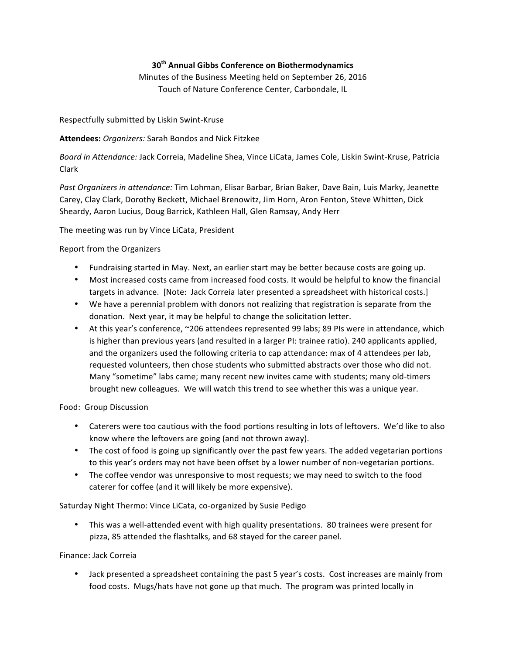# **30th Annual Gibbs Conference on Biothermodynamics**

Minutes of the Business Meeting held on September 26, 2016 Touch of Nature Conference Center, Carbondale, IL

Respectfully submitted by Liskin Swint-Kruse

## Attendees: Organizers: Sarah Bondos and Nick Fitzkee

*Board in Attendance: Jack Correia, Madeline Shea, Vince LiCata, James Cole, Liskin Swint-Kruse, Patricia* Clark

Past Organizers in attendance: Tim Lohman, Elisar Barbar, Brian Baker, Dave Bain, Luis Marky, Jeanette Carey, Clay Clark, Dorothy Beckett, Michael Brenowitz, Jim Horn, Aron Fenton, Steve Whitten, Dick Sheardy, Aaron Lucius, Doug Barrick, Kathleen Hall, Glen Ramsay, Andy Herr

The meeting was run by Vince LiCata, President

### Report from the Organizers

- Fundraising started in May. Next, an earlier start may be better because costs are going up.
- Most increased costs came from increased food costs. It would be helpful to know the financial targets in advance. [Note: Jack Correia later presented a spreadsheet with historical costs.]
- We have a perennial problem with donors not realizing that registration is separate from the donation. Next year, it may be helpful to change the solicitation letter.
- At this year's conference, ~206 attendees represented 99 labs; 89 PIs were in attendance, which is higher than previous years (and resulted in a larger PI: trainee ratio). 240 applicants applied, and the organizers used the following criteria to cap attendance: max of 4 attendees per lab, requested volunteers, then chose students who submitted abstracts over those who did not. Many "sometime" labs came; many recent new invites came with students; many old-timers brought new colleagues. We will watch this trend to see whether this was a unique year.

### Food: Group Discussion

- Caterers were too cautious with the food portions resulting in lots of leftovers. We'd like to also know where the leftovers are going (and not thrown away).
- The cost of food is going up significantly over the past few years. The added vegetarian portions to this year's orders may not have been offset by a lower number of non-vegetarian portions.
- The coffee vendor was unresponsive to most requests; we may need to switch to the food caterer for coffee (and it will likely be more expensive).

Saturday Night Thermo: Vince LiCata, co-organized by Susie Pedigo

• This was a well-attended event with high quality presentations. 80 trainees were present for pizza, 85 attended the flashtalks, and 68 stayed for the career panel.

### Finance: Jack Correia

• Jack presented a spreadsheet containing the past 5 year's costs. Cost increases are mainly from food costs. Mugs/hats have not gone up that much. The program was printed locally in